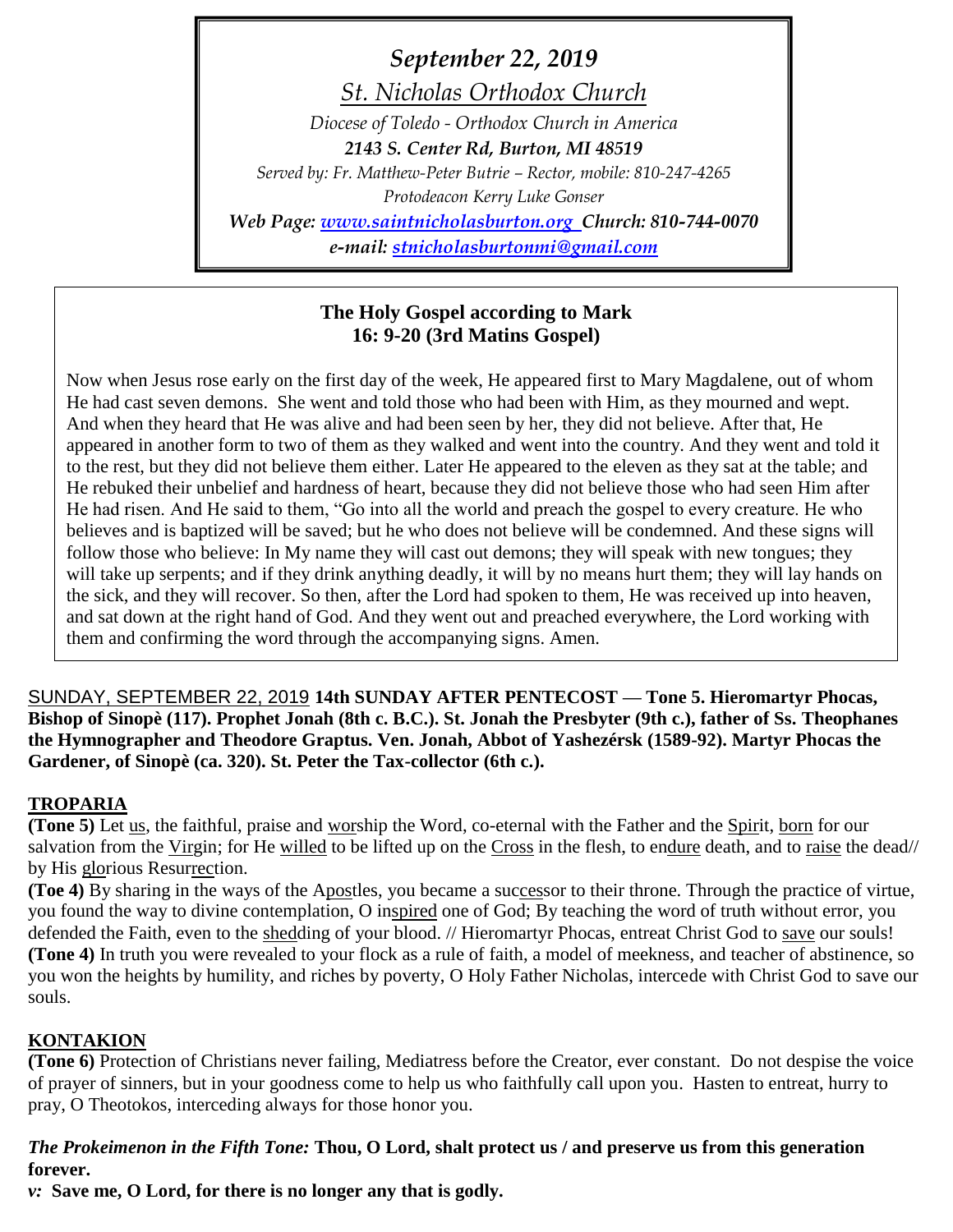*September 22, 2019*

*St. Nicholas Orthodox Church Diocese of Toledo - Orthodox Church in America 2143 S. Center Rd, Burton, MI 48519 Served by: Fr. Matthew-Peter Butrie – Rector, mobile: 810-247-4265 Protodeacon Kerry Luke Gonser Web Page: [www.saintnicholasburton.org](http://www.saintnicholasburton.org/) Church: 810-744-0070 e-mail: [stnicholasburtonmi@gmail.com](mailto:stnicholasburtonmi@gmail.com)*

# **The Holy Gospel according to Mark 16: 9-20 (3rd Matins Gospel)**

Now when Jesus rose early on the first day of the week, He appeared first to Mary Magdalene, out of whom He had cast seven demons. She went and told those who had been with Him, as they mourned and wept. And when they heard that He was alive and had been seen by her, they did not believe. After that, He appeared in another form to two of them as they walked and went into the country. And they went and told it to the rest, but they did not believe them either. Later He appeared to the eleven as they sat at the table; and He rebuked their unbelief and hardness of heart, because they did not believe those who had seen Him after He had risen. And He said to them, "Go into all the world and preach the gospel to every creature. He who believes and is baptized will be saved; but he who does not believe will be condemned. And these signs will follow those who believe: In My name they will cast out demons; they will speak with new tongues; they will take up serpents; and if they drink anything deadly, it will by no means hurt them; they will lay hands on the sick, and they will recover. So then, after the Lord had spoken to them, He was received up into heaven, and sat down at the right hand of God. And they went out and preached everywhere, the Lord working with them and confirming the word through the accompanying signs. Amen.

SUNDAY, SEPTEMBER 22, 2019 **14th SUNDAY AFTER PENTECOST — Tone 5. Hieromartyr Phocas, Bishop of Sinopè (117). Prophet Jonah (8th c. B.C.). St. Jonah the Presbyter (9th c.), father of Ss. Theophanes the Hymnographer and Theodore Graptus. Ven. Jonah, Abbot of Yashezérsk (1589-92). Martyr Phocas the Gardener, of Sinopè (ca. 320). St. Peter the Tax-collector (6th c.).**

# **TROPARIA**

**(Tone 5)** Let us, the faithful, praise and worship the Word, co-eternal with the Father and the Spirit, born for our salvation from the Virgin; for He willed to be lifted up on the Cross in the flesh, to endure death, and to raise the dead// by His glorious Resurrection.

**(Toe 4)** By sharing in the ways of the Apostles, you became a successor to their throne. Through the practice of virtue, you found the way to divine contemplation, O inspired one of God; By teaching the word of truth without error, you defended the Faith, even to the shedding of your blood. // Hieromartyr Phocas, entreat Christ God to save our souls! **(Tone 4)** In truth you were revealed to your flock as a rule of faith, a model of meekness, and teacher of abstinence, so you won the heights by humility, and riches by poverty, O Holy Father Nicholas, intercede with Christ God to save our souls.

# **KONTAKION**

**(Tone 6)** Protection of Christians never failing, Mediatress before the Creator, ever constant. Do not despise the voice of prayer of sinners, but in your goodness come to help us who faithfully call upon you. Hasten to entreat, hurry to pray, O Theotokos, interceding always for those honor you.

## *The Prokeimenon in the Fifth Tone:* **Thou, O Lord, shalt protect us / and preserve us from this generation forever.**

*v:* **Save me, O Lord, for there is no longer any that is godly.**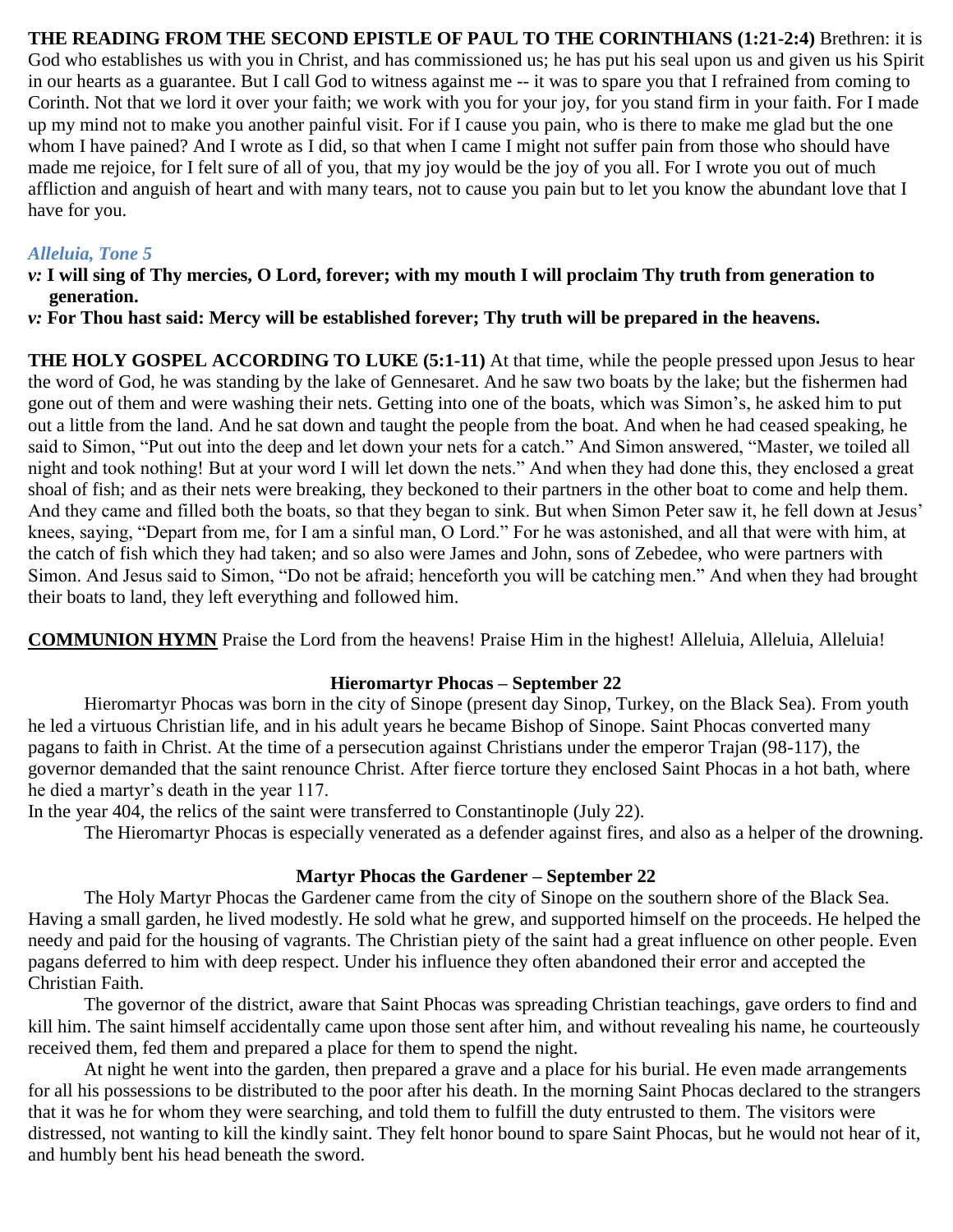### **THE READING FROM THE SECOND EPISTLE OF PAUL TO THE CORINTHIANS (1:21-2:4)** Brethren: it is God who establishes us with you in Christ, and has commissioned us; he has put his seal upon us and given us his Spirit in our hearts as a guarantee. But I call God to witness against me -- it was to spare you that I refrained from coming to Corinth. Not that we lord it over your faith; we work with you for your joy, for you stand firm in your faith. For I made up my mind not to make you another painful visit. For if I cause you pain, who is there to make me glad but the one whom I have pained? And I wrote as I did, so that when I came I might not suffer pain from those who should have made me rejoice, for I felt sure of all of you, that my joy would be the joy of you all. For I wrote you out of much affliction and anguish of heart and with many tears, not to cause you pain but to let you know the abundant love that I have for you.

## *Alleluia, Tone 5*

- *v:* **I will sing of Thy mercies, O Lord, forever; with my mouth I will proclaim Thy truth from generation to generation.**
- *v:* **For Thou hast said: Mercy will be established forever; Thy truth will be prepared in the heavens.**

**THE HOLY GOSPEL ACCORDING TO LUKE (5:1-11)** At that time, while the people pressed upon Jesus to hear the word of God, he was standing by the lake of Gennesaret. And he saw two boats by the lake; but the fishermen had gone out of them and were washing their nets. Getting into one of the boats, which was Simon's, he asked him to put out a little from the land. And he sat down and taught the people from the boat. And when he had ceased speaking, he said to Simon, "Put out into the deep and let down your nets for a catch." And Simon answered, "Master, we toiled all night and took nothing! But at your word I will let down the nets." And when they had done this, they enclosed a great shoal of fish; and as their nets were breaking, they beckoned to their partners in the other boat to come and help them. And they came and filled both the boats, so that they began to sink. But when Simon Peter saw it, he fell down at Jesus' knees, saying, "Depart from me, for I am a sinful man, O Lord." For he was astonished, and all that were with him, at the catch of fish which they had taken; and so also were James and John, sons of Zebedee, who were partners with Simon. And Jesus said to Simon, "Do not be afraid; henceforth you will be catching men." And when they had brought their boats to land, they left everything and followed him.

**COMMUNION HYMN** Praise the Lord from the heavens! Praise Him in the highest! Alleluia, Alleluia, Alleluia!

### **Hieromartyr Phocas – September 22**

Hieromartyr Phocas was born in the city of Sinope (present day Sinop, Turkey, on the Black Sea). From youth he led a virtuous Christian life, and in his adult years he became Bishop of Sinope. Saint Phocas converted many pagans to faith in Christ. At the time of a persecution against Christians under the emperor Trajan (98-117), the governor demanded that the saint renounce Christ. After fierce torture they enclosed Saint Phocas in a hot bath, where he died a martyr's death in the year 117.

In the year 404, the relics of the saint were transferred to Constantinople (July 22).

The Hieromartyr Phocas is especially venerated as a defender against fires, and also as a helper of the drowning.

### **Martyr Phocas the Gardener – September 22**

The Holy Martyr Phocas the Gardener came from the city of Sinope on the southern shore of the Black Sea. Having a small garden, he lived modestly. He sold what he grew, and supported himself on the proceeds. He helped the needy and paid for the housing of vagrants. The Christian piety of the saint had a great influence on other people. Even pagans deferred to him with deep respect. Under his influence they often abandoned their error and accepted the Christian Faith.

The governor of the district, aware that Saint Phocas was spreading Christian teachings, gave orders to find and kill him. The saint himself accidentally came upon those sent after him, and without revealing his name, he courteously received them, fed them and prepared a place for them to spend the night.

At night he went into the garden, then prepared a grave and a place for his burial. He even made arrangements for all his possessions to be distributed to the poor after his death. In the morning Saint Phocas declared to the strangers that it was he for whom they were searching, and told them to fulfill the duty entrusted to them. The visitors were distressed, not wanting to kill the kindly saint. They felt honor bound to spare Saint Phocas, but he would not hear of it, and humbly bent his head beneath the sword.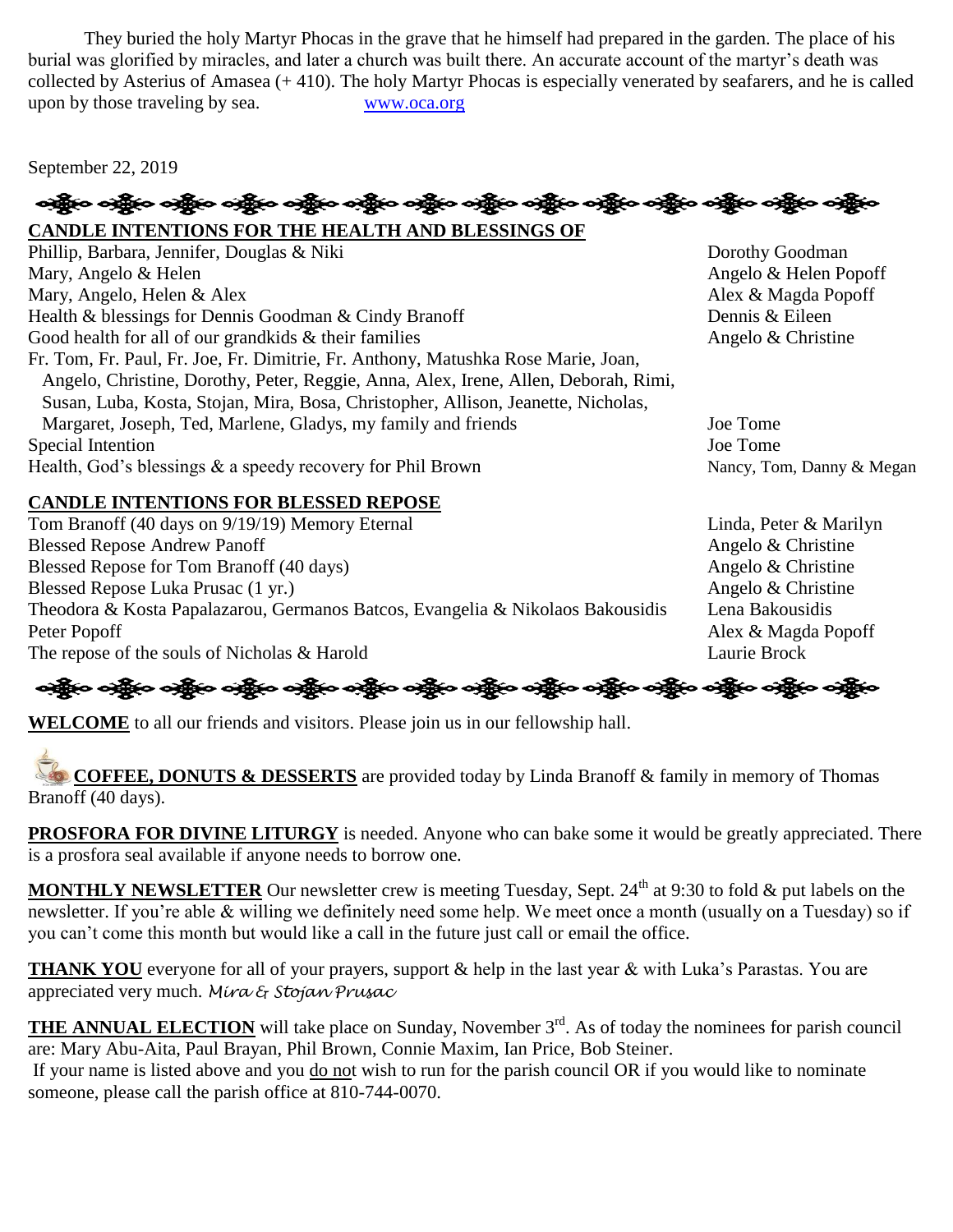They buried the holy Martyr Phocas in the grave that he himself had prepared in the garden. The place of his burial was glorified by miracles, and later a church was built there. An accurate account of the martyr's death was collected by Asterius of Amasea (+ 410). The holy Martyr Phocas is especially venerated by seafarers, and he is called upon by those traveling by sea. [www.oca.org](http://www.oca.org/)

September 22, 2019

န္ကြိုးေခါင္ဆိုးေခါင္ဆိုးေခါင္း ကိုင္း ခင္ဆိုးေခါင္ဆိုးေခါင္ဆိုးေခါင္း ဆိုင္းေခါင္းေခါင္ဆိုးေခါင္ဆိုးေခါင္ဆိုး

**CANDLE INTENTIONS FOR THE HEALTH AND BLESSINGS OF**  Phillip, Barbara, Jennifer, Douglas & Niki Dorothy Goodman Mary, Angelo & Helen Angelo & Helen Popoff Mary, Angelo, Helen & Alex **Alex** Alex **Alex Alex Alex Alex & Magda Popoff** Health & blessings for Dennis Goodman & Cindy Branoff Dennis & Eileen Good health for all of our grandkids  $\&$  their families Angelo  $\&$  Christine Fr. Tom, Fr. Paul, Fr. Joe, Fr. Dimitrie, Fr. Anthony, Matushka Rose Marie, Joan, Angelo, Christine, Dorothy, Peter, Reggie, Anna, Alex, Irene, Allen, Deborah, Rimi, Susan, Luba, Kosta, Stojan, Mira, Bosa, Christopher, Allison, Jeanette, Nicholas, Margaret, Joseph, Ted, Marlene, Gladys, my family and friends Joe Tome Special Intention Joe Tome Health, God's blessings & a speedy recovery for Phil Brown Nancy, Tom, Danny & Megan

## **CANDLE INTENTIONS FOR BLESSED REPOSE**

Tom Branoff (40 days on 9/19/19) Memory Eternal Linda, Peter & Marilyn Blessed Repose Andrew Panoff Angelo & Christine Blessed Repose for Tom Branoff (40 days) Angelo & Christine Blessed Repose Luka Prusac (1 yr.) Angelo & Christine Theodora & Kosta Papalazarou, Germanos Batcos, Evangelia & Nikolaos Bakousidis Lena Bakousidis Peter Popoff Alex & Magda Popoff The repose of the souls of Nicholas & Harold Laurie Brock Laurie Brock

ခရွိက ခရွိက ခရွိက ခရွိက အိုင်း အိုင်း ခရွိက ခရွိက ခရွိက ခရွိက ခရွိက ခရွိက ခရွိက ခရွိက ခရွိက ခရွိက

**WELCOME** to all our friends and visitors. Please join us in our fellowship hall.

**COFFEE, DONUTS & DESSERTS** are provided today by Linda Branoff & family in memory of Thomas Branoff (40 days).

**PROSFORA FOR DIVINE LITURGY** is needed. Anyone who can bake some it would be greatly appreciated. There is a prosfora seal available if anyone needs to borrow one.

**MONTHLY NEWSLETTER** Our newsletter crew is meeting Tuesday, Sept. 24<sup>th</sup> at 9:30 to fold & put labels on the newsletter. If you're able & willing we definitely need some help. We meet once a month (usually on a Tuesday) so if you can't come this month but would like a call in the future just call or email the office.

**THANK YOU** everyone for all of your prayers, support & help in the last year & with Luka's Parastas. You are appreciated very much. *Mira & Stojan Prusac*

**THE ANNUAL ELECTION** will take place on Sunday, November 3<sup>rd</sup>. As of today the nominees for parish council are: Mary Abu-Aita, Paul Brayan, Phil Brown, Connie Maxim, Ian Price, Bob Steiner.

If your name is listed above and you do not wish to run for the parish council OR if you would like to nominate someone, please call the parish office at 810-744-0070.